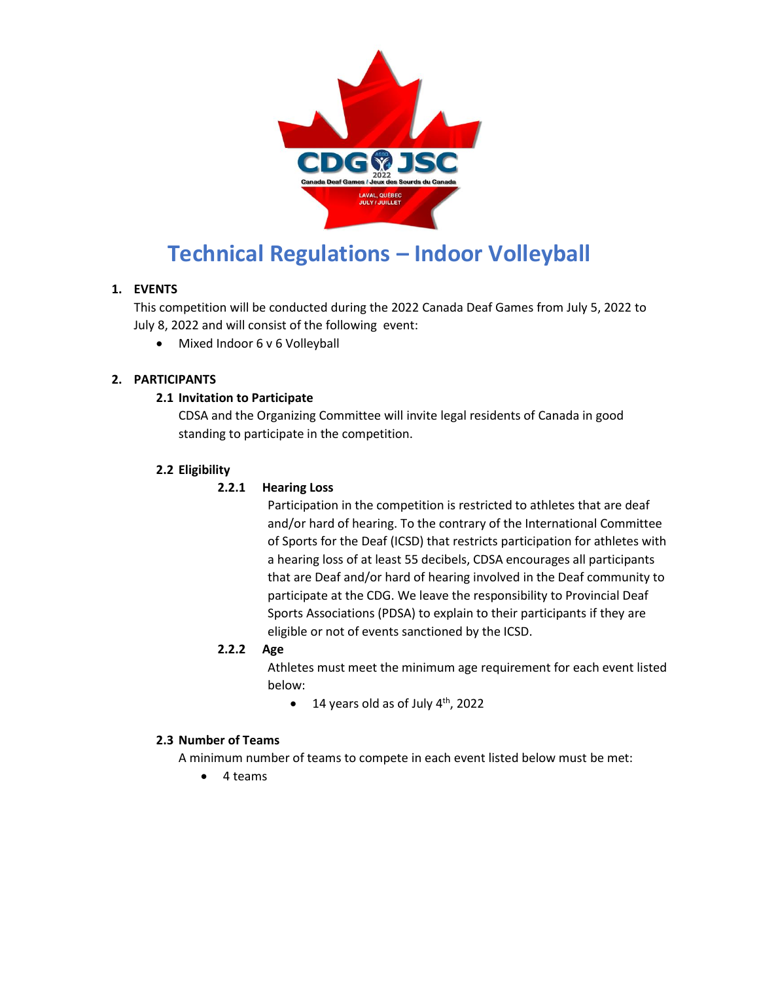

# **Technical Regulations – Indoor Volleyball**

# **1. EVENTS**

This competition will be conducted during the 2022 Canada Deaf Games from July 5, 2022 to July 8, 2022 and will consist of the following event:

Mixed Indoor 6 v 6 Volleyball

# **2. PARTICIPANTS**

# **2.1 Invitation to Participate**

CDSA and the Organizing Committee will invite legal residents of Canada in good standing to participate in the competition.

# **2.2 Eligibility**

# **2.2.1 Hearing Loss**

Participation in the competition is restricted to athletes that are deaf and/or hard of hearing. To the contrary of the International Committee of Sports for the Deaf (ICSD) that restricts participation for athletes with a hearing loss of at least 55 decibels, CDSA encourages all participants that are Deaf and/or hard of hearing involved in the Deaf community to participate at the CDG. We leave the responsibility to Provincial Deaf Sports Associations (PDSA) to explain to their participants if they are eligible or not of events sanctioned by the ICSD.

# **2.2.2 Age**

Athletes must meet the minimum age requirement for each event listed below:

 $\bullet$  14 years old as of July 4<sup>th</sup>, 2022

# **2.3 Number of Teams**

A minimum number of teams to compete in each event listed below must be met:

4 teams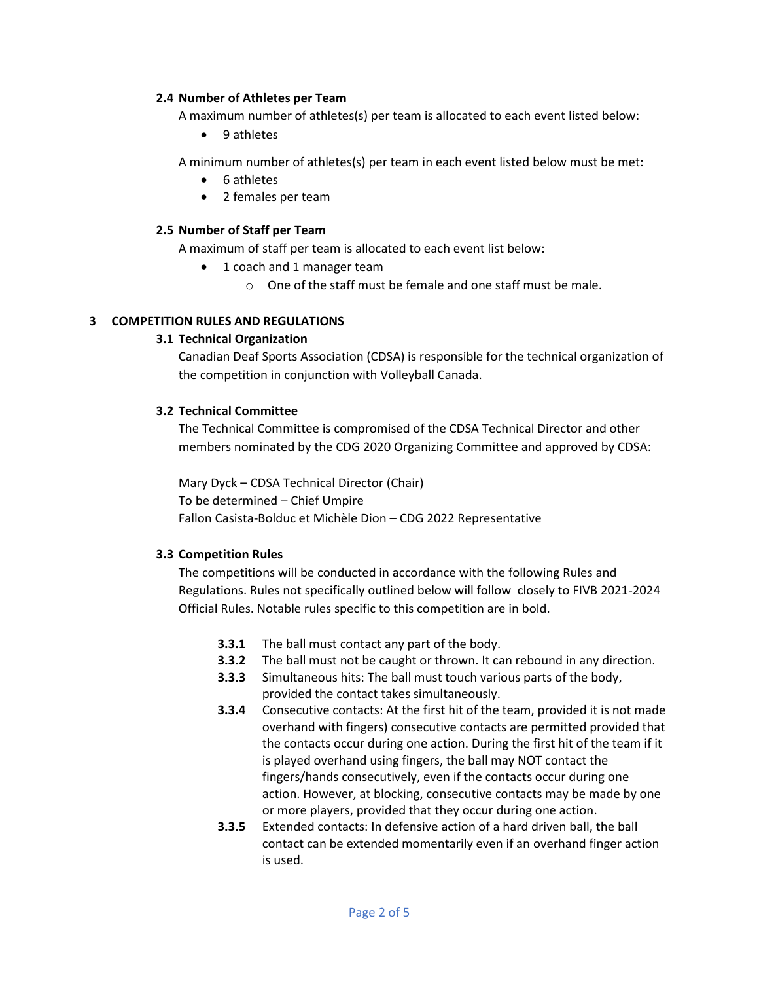## **2.4 Number of Athletes per Team**

A maximum number of athletes(s) per team is allocated to each event listed below:

• 9 athletes

A minimum number of athletes(s) per team in each event listed below must be met:

- 6 athletes
- 2 females per team

## **2.5 Number of Staff per Team**

A maximum of staff per team is allocated to each event list below:

- 1 coach and 1 manager team
	- o One of the staff must be female and one staff must be male.

## **3 COMPETITION RULES AND REGULATIONS**

## **3.1 Technical Organization**

Canadian Deaf Sports Association (CDSA) is responsible for the technical organization of the competition in conjunction with Volleyball Canada.

### **3.2 Technical Committee**

The Technical Committee is compromised of the CDSA Technical Director and other members nominated by the CDG 2020 Organizing Committee and approved by CDSA:

Mary Dyck – CDSA Technical Director (Chair) To be determined – Chief Umpire Fallon Casista-Bolduc et Michèle Dion – CDG 2022 Representative

# **3.3 Competition Rules**

The competitions will be conducted in accordance with the following Rules and Regulations. Rules not specifically outlined below will follow closely to FIVB 2021-2024 Official Rules. Notable rules specific to this competition are in bold.

- **3.3.1** The ball must contact any part of the body.
- **3.3.2** The ball must not be caught or thrown. It can rebound in any direction.
- **3.3.3** Simultaneous hits: The ball must touch various parts of the body, provided the contact takes simultaneously.
- **3.3.4** Consecutive contacts: At the first hit of the team, provided it is not made overhand with fingers) consecutive contacts are permitted provided that the contacts occur during one action. During the first hit of the team if it is played overhand using fingers, the ball may NOT contact the fingers/hands consecutively, even if the contacts occur during one action. However, at blocking, consecutive contacts may be made by one or more players, provided that they occur during one action.
- **3.3.5** Extended contacts: In defensive action of a hard driven ball, the ball contact can be extended momentarily even if an overhand finger action is used.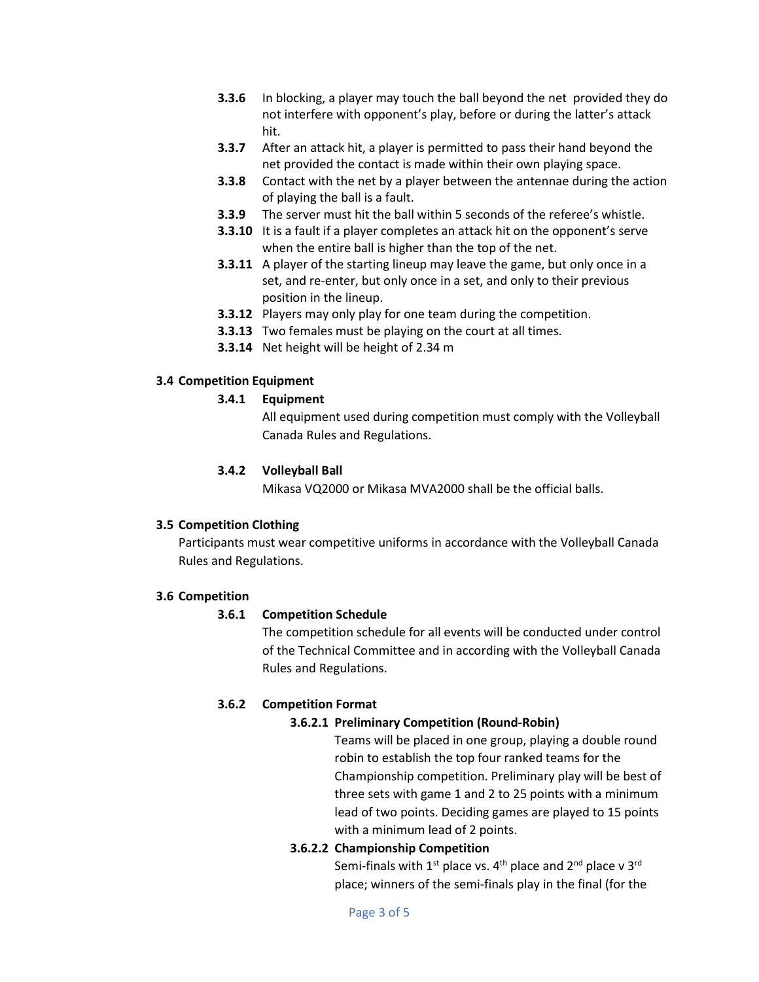- **3.3.6** In blocking, a player may touch the ball beyond the net provided they do not interfere with opponent's play, before or during the latter's attack hit.
- **3.3.7** After an attack hit, a player is permitted to pass their hand beyond the net provided the contact is made within their own playing space.
- **3.3.8** Contact with the net by a player between the antennae during the action of playing the ball is a fault.
- **3.3.9** The server must hit the ball within 5 seconds of the referee's whistle.
- **3.3.10** It is a fault if a player completes an attack hit on the opponent's serve when the entire ball is higher than the top of the net.
- **3.3.11** A player of the starting lineup may leave the game, but only once in a set, and re-enter, but only once in a set, and only to their previous position in the lineup.
- **3.3.12** Players may only play for one team during the competition.
- **3.3.13** Two females must be playing on the court at all times.
- **3.3.14** Net height will be height of 2.34 m

## **3.4 Competition Equipment**

### **3.4.1 Equipment**

All equipment used during competition must comply with the Volleyball Canada Rules and Regulations.

## **3.4.2 Volleyball Ball**

Mikasa VQ2000 or Mikasa MVA2000 shall be the official balls.

### **3.5 Competition Clothing**

Participants must wear competitive uniforms in accordance with the Volleyball Canada Rules and Regulations.

### **3.6 Competition**

# **3.6.1 Competition Schedule**

The competition schedule for all events will be conducted under control of the Technical Committee and in according with the Volleyball Canada Rules and Regulations.

# **3.6.2 Competition Format**

# **3.6.2.1 Preliminary Competition (Round-Robin)**

Teams will be placed in one group, playing a double round robin to establish the top four ranked teams for the Championship competition. Preliminary play will be best of three sets with game 1 and 2 to 25 points with a minimum lead of two points. Deciding games are played to 15 points with a minimum lead of 2 points.

# **3.6.2.2 Championship Competition**

Semi-finals with  $1^{st}$  place vs.  $4^{th}$  place and  $2^{nd}$  place v  $3^{rd}$ place; winners of the semi-finals play in the final (for the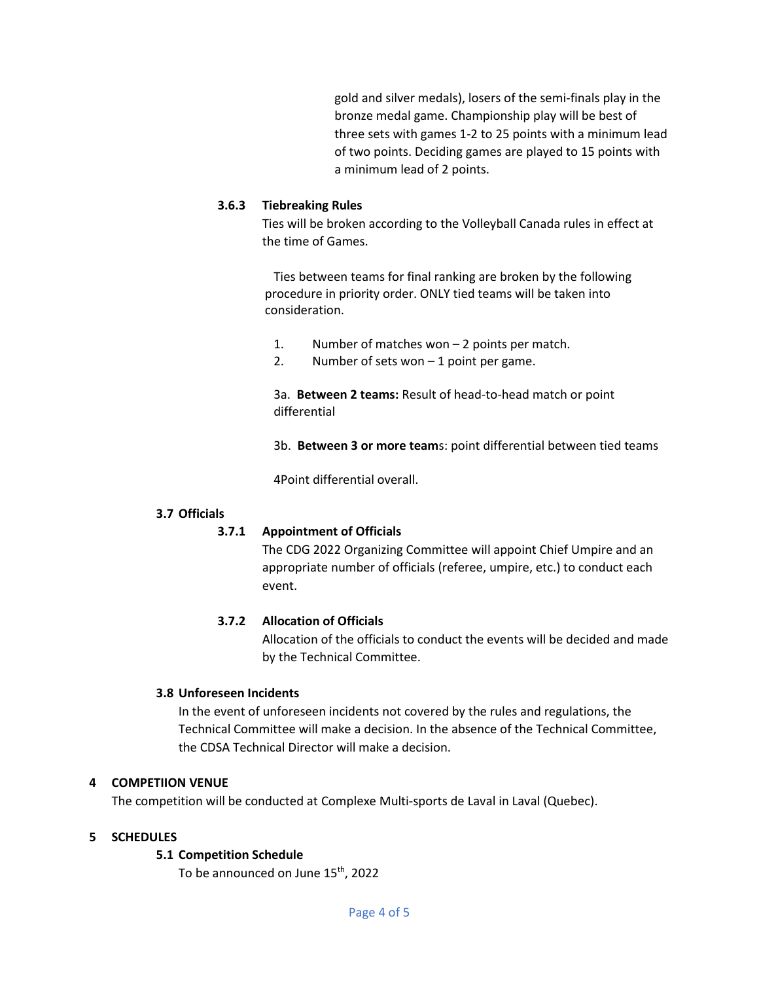gold and silver medals), losers of the semi-finals play in the bronze medal game. Championship play will be best of three sets with games 1-2 to 25 points with a minimum lead of two points. Deciding games are played to 15 points with a minimum lead of 2 points.

#### **3.6.3 Tiebreaking Rules**

Ties will be broken according to the Volleyball Canada rules in effect at the time of Games.

Ties between teams for final ranking are broken by the following procedure in priority order. ONLY tied teams will be taken into consideration.

- 1. Number of matches won 2 points per match.
- 2. Number of sets won  $-1$  point per game.

3a. **Between 2 teams:** Result of head-to-head match or point differential

3b. **Between 3 or more team**s: point differential between tied teams

4Point differential overall.

### **3.7 Officials**

### **3.7.1 Appointment of Officials**

The CDG 2022 Organizing Committee will appoint Chief Umpire and an appropriate number of officials (referee, umpire, etc.) to conduct each event.

### **3.7.2 Allocation of Officials**

Allocation of the officials to conduct the events will be decided and made by the Technical Committee.

### **3.8 Unforeseen Incidents**

In the event of unforeseen incidents not covered by the rules and regulations, the Technical Committee will make a decision. In the absence of the Technical Committee, the CDSA Technical Director will make a decision.

### **4 COMPETIION VENUE**

The competition will be conducted at Complexe Multi-sports de Laval in Laval (Quebec).

### **5 SCHEDULES**

### **5.1 Competition Schedule**

To be announced on June 15<sup>th</sup>, 2022